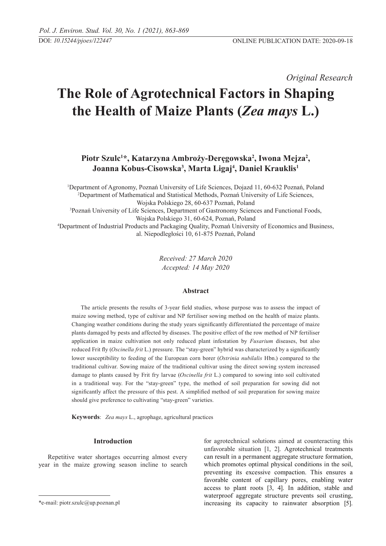*Original Research* 

# **The Role of Agrotechnical Factors in Shaping the Health of Maize Plants (***Zea mays* **L.)**

**Piotr Szulc1 \*, Katarzyna Ambroży-Deręgowska<sup>2</sup> , Iwona Mejza<sup>2</sup> , Joanna Kobus-Cisowska<sup>3</sup> , Marta Ligaj<sup>4</sup> , Daniel Krauklis<sup>1</sup>**

1 Department of Agronomy, Poznań University of Life Sciences, Dojazd 11, 60-632 Poznań, Poland 2 Department of Mathematical and Statistical Methods, Poznań University of Life Sciences, Wojska Polskiego 28, 60-637 Poznań, Poland 3 Poznań University of Life Sciences, Department of Gastronomy Sciences and Functional Foods, Wojska Polskiego 31, 60-624, Poznań, Poland 4 Department of Industrial Products and Packaging Quality, Poznań University of Economics and Business, al. Niepodległości 10, 61-875 Poznań, Poland

> *Received: 27 March 2020 Accepted: 14 May 2020*

# **Abstract**

The article presents the results of 3-year field studies, whose purpose was to assess the impact of maize sowing method, type of cultivar and NP fertiliser sowing method on the health of maize plants. Changing weather conditions during the study years significantly differentiated the percentage of maize plants damaged by pests and affected by diseases. The positive effect of the row method of NP fertiliser application in maize cultivation not only reduced plant infestation by *Fusarium* diseases, but also reduced Frit fly (*Oscinella frit* L.) pressure. The "stay-green" hybrid was characterized by a significantly lower susceptibility to feeding of the European corn borer (*Ostrinia nubilalis* Hbn.) compared to the traditional cultivar. Sowing maize of the traditional cultivar using the direct sowing system increased damage to plants caused by Frit fry larvae (*Oscinella frit* L.) compared to sowing into soil cultivated in a traditional way. For the "stay-green" type, the method of soil preparation for sowing did not significantly affect the pressure of this pest. A simplified method of soil preparation for sowing maize should give preference to cultivating "stay-green" varieties.

**Keywords**: *Zea mays* L., agrophage, agricultural practices

# **Introduction**

Repetitive water shortages occurring almost every year in the maize growing season incline to search

for agrotechnical solutions aimed at counteracting this unfavorable situation [1, 2]. Agrotechnical treatments can result in a permanent aggregate structure formation, which promotes optimal physical conditions in the soil, preventing its excessive compaction. This ensures a favorable content of capillary pores, enabling water access to plant roots [3, 4]. In addition, stable and waterproof aggregate structure prevents soil crusting, increasing its capacity to rainwater absorption [5].

<sup>\*</sup>e-mail: piotr.szulc@up.poznan.pl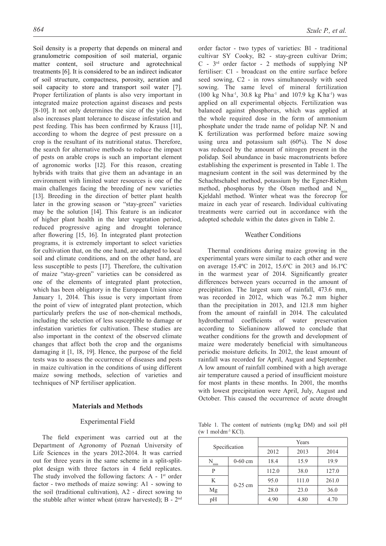Soil density is a property that depends on mineral and granulometric composition of soil material, organic matter content, soil structure and agrotechnical treatments [6]. It is considered to be an indirect indicator of soil structure, compactness, porosity, aeration and soil capacity to store and transport soil water [7]. Proper fertilization of plants is also very important in integrated maize protection against diseases and pests [8-10]. It not only determines the size of the yield, but also increases plant tolerance to disease infestation and pest feeding. This has been confirmed by Krauss [11], according to whom the degree of pest pressure on a crop is the resultant of its nutritional status. Therefore, the search for alternative methods to reduce the impact of pests on arable crops is such an important element of agronomic works [12]. For this reason, creating hybrids with traits that give them an advantage in an environment with limited water resources is one of the main challenges facing the breeding of new varieties [13]. Breeding in the direction of better plant health later in the growing season or "stay-green" varieties may be the solution [14]. This feature is an indicator of higher plant health in the later vegetation period, reduced progressive aging and drought tolerance after flowering [15, 16]. In integrated plant protection programs, it is extremely important to select varieties for cultivation that, on the one hand, are adapted to local soil and climate conditions, and on the other hand, are less susceptible to pests [17]. Therefore, the cultivation of maize "stay-green" varieties can be considered as one of the elements of integrated plant protection, which has been obligatory in the European Union since January 1, 2014. This issue is very important from the point of view of integrated plant protection, which particularly prefers the use of non-chemical methods, including the selection of less susceptible to damage or infestation varieties for cultivation. These studies are also important in the context of the observed climate changes that affect both the crop and the organisms damaging it [1, 18, 19]. Hence, the purpose of the field tests was to assess the occurrence of diseases and pests in maize cultivation in the conditions of using different maize sowing methods, selection of varieties and techniques of NP fertiliser application.

#### **Materials and Methods**

#### Experimental field

The field experiment was carried out at the Department of Agronomy of Poznań University of Life Sciences in the years 2012-2014. It was carried out for three years in the same scheme in a split-splitplot design with three factors in 4 field replicates. The study involved the following factors:  $A - 1$ <sup>st</sup> order factor - two methods of maize sowing: A1 - sowing to the soil (traditional cultivation), A2 - direct sowing to the stubble after winter wheat (straw harvested); B - 2nd order factor - two types of varieties: B1 - traditional cultivar SY Cooky, B2 - stay-green cultivar Drim;  $C - 3<sup>rd</sup>$  order factor - 2 methods of supplying NP fertiliser: C1 - broadcast on the entire surface before seed sowing, C2 - in rows simultaneously with seed sowing. The same level of mineral fertilization  $(100 \text{ kg N} \cdot \text{ha}^{-1}, 30.8 \text{ kg Pha}^{-1} \text{ and } 107.9 \text{ kg Kha}^{-1})$  was applied on all experimental objects. Fertilization was balanced against phosphorus, which was applied at the whole required dose in the form of ammonium phosphate under the trade name of polidap NP. N and K fertilization was performed before maize sowing using urea and potassium salt (60%). The N dose was reduced by the amount of nitrogen present in the polidap. Soil abundance in basic macronutrients before establishing the experiment is presented in Table 1. The magnesium content in the soil was determined by the Schachtschabel method, potassium by the Egner-Riehm method, phosphorus by the Olsen method and  $N_{min}$ Kjeldahl method. Winter wheat was the forecrop for maize in each year of research. Individual cultivating treatments were carried out in accordance with the adopted schedule within the dates given in Table 2.

## Weather Conditions

Thermal conditions during maize growing in the experimental years were similar to each other and were on average 15.4ºC in 2012, 15.6ºC in 2013 and 16.1ºC in the warmest year of 2014. Significantly greater differences between years occurred in the amount of precipitation. The largest sum of rainfall, 473.6 mm, was recorded in 2012, which was 76.2 mm higher than the precipitation in 2013, and 121.8 mm higher from the amount of rainfall in 2014. The calculated hydrothermal coefficients of water preservation according to Sielianinow allowed to conclude that weather conditions for the growth and development of maize were moderately beneficial with simultaneous periodic moisture deficits. In 2012, the least amount of rainfall was recorded for April, August and September. A low amount of rainfall combined with a high average air temperature caused a period of insufficient moisture for most plants in these months. In 2001, the months with lowest precipitation were April, July, August and October. This caused the occurrence of acute drought

Table 1. The content of nutrients (mg/kg DM) and soil pH  $(w 1 \text{ mol dm}^{-3}$  KCl).

| Specification |           | Years |       |       |  |  |  |
|---------------|-----------|-------|-------|-------|--|--|--|
|               |           | 2012  | 2013  | 2014  |  |  |  |
| min           | $0-60$ cm | 18.4  | 15.9  | 19.9  |  |  |  |
| P             |           | 112.0 | 38.0  | 127.0 |  |  |  |
| K             | $0-25$ cm | 95.0  | 111.0 | 261.0 |  |  |  |
| Mg            |           | 28.0  | 23.0  | 36.0  |  |  |  |
| рH            |           | 4.90  | 4.80  | 4.70  |  |  |  |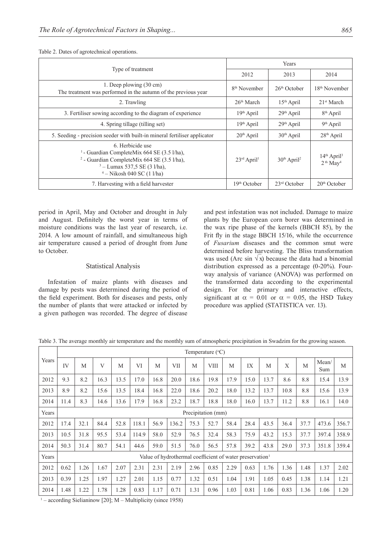|                                                                                                                                                                                               | Years                               |                           |                                                     |  |  |
|-----------------------------------------------------------------------------------------------------------------------------------------------------------------------------------------------|-------------------------------------|---------------------------|-----------------------------------------------------|--|--|
| Type of treatment                                                                                                                                                                             | 2012                                | 2013                      | 2014                                                |  |  |
| 1. Deep plowing (30 cm)<br>The treatment was performed in the autumn of the previous year                                                                                                     | 8 <sup>th</sup> November            | $26th$ October            | $18th$ November                                     |  |  |
| 2. Trawling                                                                                                                                                                                   | 26 <sup>th</sup> March              | $15th$ April              | 21 <sup>st</sup> March                              |  |  |
| 3. Fertiliser sowing according to the diagram of experience                                                                                                                                   | $19th$ April                        | $29th$ April              | 8 <sup>th</sup> April                               |  |  |
| 4. Spring tillage (tilling set)                                                                                                                                                               | $19th$ April                        | $29th$ April              | $9th$ April                                         |  |  |
| 5. Seeding - precision seeder with built-in mineral fertiliser applicator                                                                                                                     | $20th$ April                        | $30th$ April              | $28th$ April                                        |  |  |
| 6. Herbicide use<br><sup>1</sup> - Guardian CompleteMix 664 SE (3.5 l/ha),<br>$2$ - Guardian CompleteMix 664 SE (3.5 l/ha),<br>$3 -$ Lumax 537,5 SE (3 1/ha),<br>$4 - Nikosh 040$ SC (1 l/ha) | $23^{\text{rd}}$ April <sup>1</sup> | $30th$ April <sup>2</sup> | $14th$ April <sup>3</sup><br>$2th$ May <sup>4</sup> |  |  |
| 7. Harvesting with a field harvester                                                                                                                                                          | 19 <sup>th</sup> October            | $23rd$ October            | $20th$ October                                      |  |  |

Table 2. Dates of agrotechnical operations.

period in April, May and October and drought in July and August. Definitely the worst year in terms of moisture conditions was the last year of research, i.e. 2014. A low amount of rainfall, and simultaneous high air temperature caused a period of drought from June to October.

# Statistical Analysis

Infestation of maize plants with diseases and damage by pests was determined during the period of the field experiment. Both for diseases and pests, only the number of plants that were attacked or infected by a given pathogen was recorded. The degree of disease

and pest infestation was not included. Damage to maize plants by the European corn borer was determined in the wax ripe phase of the kernels (BBCH 85), by the Frit fly in the stage BBCH 15/16, while the occurrence of *Fusarium* diseases and the common smut were determined before harvesting. The Bliss transformation was used (Arc sin  $\sqrt{x}$ ) because the data had a binomial distribution expressed as a percentage (0-20%). Fourway analysis of variance (ANOVA) was performed on the transformed data according to the experimental design. For the primary and interactive effects, significant at  $\alpha = 0.01$  or  $\alpha = 0.05$ , the HSD Tukey procedure was applied (STATISTICA ver. 13).

|       |                                                                      | Temperature $(^{\circ}C)$ |              |      |       |      |            |      |                    |      |      |      |      |      |              |       |
|-------|----------------------------------------------------------------------|---------------------------|--------------|------|-------|------|------------|------|--------------------|------|------|------|------|------|--------------|-------|
| Years | IV                                                                   | M                         | $\mathbf{V}$ | M    | VI    | M    | <b>VII</b> | M    | <b>VIII</b>        | M    | IX   | M    | X    | M    | Mean/<br>Sum | M     |
| 2012  | 9.3                                                                  | 8.2                       | 16.3         | 13.5 | 17.0  | 16.8 | 20.0       | 18.6 | 19.8               | 17.9 | 15.0 | 13.7 | 8.6  | 8.8  | 15.4         | 13.9  |
| 2013  | 8.9                                                                  | 8.2                       | 15.6         | 13.5 | 18.4  | 16.8 | 22.0       | 18.6 | 20.2               | 18.0 | 13.2 | 13.7 | 10.8 | 8.8  | 15.6         | 13.9  |
| 2014  | 11.4                                                                 | 8.3                       | 14.6         | 13.6 | 17.9  | 16.8 | 23.2       | 18.7 | 18.8               | 18.0 | 16.0 | 13.7 | 11.2 | 8.8  | 16.1         | 14.0  |
| Years |                                                                      |                           |              |      |       |      |            |      | Precipitation (mm) |      |      |      |      |      |              |       |
| 2012  | 17.4                                                                 | 32.1                      | 84.4         | 52.8 | 118.1 | 56.9 | 136.2      | 75.3 | 52.7               | 58.4 | 28.4 | 43.5 | 36.4 | 37.7 | 473.6        | 356.7 |
| 2013  | 10.5                                                                 | 31.8                      | 95.5         | 53.4 | 114.9 | 58.0 | 52.9       | 76.5 | 32.4               | 58.3 | 75.9 | 43.2 | 15.3 | 37.7 | 397.4        | 358.9 |
| 2014  | 50.3                                                                 | 31.4                      | 80.7         | 54.1 | 44.6  | 59.0 | 51.5       | 76.0 | 56.5               | 57.8 | 39.2 | 43.8 | 29.0 | 37.3 | 351.8        | 359.4 |
| Years | Value of hydrothermal coefficient of water preservation <sup>1</sup> |                           |              |      |       |      |            |      |                    |      |      |      |      |      |              |       |
| 2012  | 0.62                                                                 | 1.26                      | 1.67         | 2.07 | 2.31  | 2.31 | 2.19       | 2.96 | 0.85               | 2.29 | 0.63 | 1.76 | 1.36 | 1.48 | 1.37         | 2.02  |
| 2013  | 0.39                                                                 | 1.25                      | 1.97         | 1.27 | 2.01  | 1.15 | 0.77       | 1.32 | 0.51               | 1.04 | 1.91 | 1.05 | 0.45 | 1.38 | 1.14         | 1.21  |
| 2014  | 1.48                                                                 | 1.22                      | 1.78         | 1.28 | 0.83  | 1.17 | 0.71       | 1.31 | 0.96               | 1.03 | 0.81 | 1.06 | 0.83 | 1.36 | 1.06         | 1.20  |

Table 3. The average monthly air temperature and the monthly sum of atmospheric precipitation in Swadzim for the growing season.

1 – according Sielianinow [20]; M – Multiplicity (since 1958)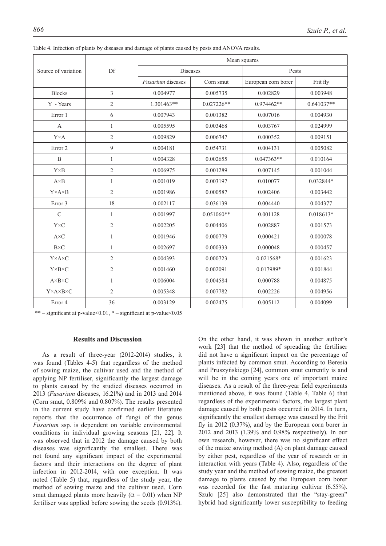|                                |                | Mean squares             |              |                     |              |  |  |
|--------------------------------|----------------|--------------------------|--------------|---------------------|--------------|--|--|
| Source of variation            | Df             |                          | Diseases     | Pests               |              |  |  |
|                                |                | <i>Fusarium</i> diseases | Corn smut    | European corn borer | Frit fly     |  |  |
| <b>Blocks</b>                  | $\overline{3}$ | 0.004977                 | 0.005735     | 0.002829            | 0.003948     |  |  |
| Y - Years                      | $\mathfrak{2}$ | 1.301463**               | $0.027226**$ | 0.974462**          | $0.641037**$ |  |  |
| Error 1                        | 6              | 0.007943                 | 0.001382     | 0.007016            | 0.004930     |  |  |
| $\overline{A}$                 | $\mathbf{1}$   | 0.005595                 | 0.003468     | 0.003767            | 0.024999     |  |  |
| $Y \times A$                   | $\overline{2}$ | 0.009829                 | 0.006747     | 0.000352            | 0.009151     |  |  |
| Error <sub>2</sub>             | 9              | 0.004181                 | 0.054731     | 0.004131            | 0.005082     |  |  |
| B                              | $\mathbf{1}$   | 0.004328                 | 0.002655     | $0.047363**$        | 0.010164     |  |  |
| $Y \times B$                   | $\overline{2}$ | 0.006975                 | 0.001289     | 0.007145            | 0.001044     |  |  |
| $A \times B$                   | 1              | 0.001019                 | 0.003197     | 0.010077            | 0.032844*    |  |  |
| $Y \times A \times B$          | $\overline{2}$ | 0.001986                 | 0.000587     | 0.002406            | 0.003442     |  |  |
| Error 3                        | 18             | 0.002117                 | 0.036139     | 0.004440            | 0.004377     |  |  |
| $\mathcal{C}$                  | $\mathbf{1}$   | 0.001997                 | $0.051060**$ | 0.001128            | $0.018613*$  |  |  |
| $Y \times C$                   | $\overline{2}$ | 0.002205                 | 0.004406     | 0.002887            | 0.001573     |  |  |
| $A \times C$                   | $\mathbf{1}$   | 0.001946                 | 0.000779     | 0.000421            | 0.000078     |  |  |
| $B\times C$                    | $\mathbf{1}$   | 0.002697                 | 0.000333     | 0.000048            | 0.000457     |  |  |
| $Y \times A \times C$          | $\overline{2}$ | 0.004393                 | 0.000723     | $0.021568*$         | 0.001623     |  |  |
| $Y \times B \times C$          | $\overline{2}$ | 0.001460                 | 0.002091     | 0.017989*           | 0.001844     |  |  |
| $A \times B \times C$          | $\mathbf{1}$   | 0.006004                 | 0.004584     | 0.000788            | 0.004875     |  |  |
| $Y \times A \times B \times C$ | $\overline{2}$ | 0.005348                 | 0.007782     | 0.002226            | 0.004956     |  |  |
| Error 4                        | 36             | 0.003129                 | 0.002475     | 0.005112            | 0.004099     |  |  |

Table 4. Infection of plants by diseases and damage of plants caused by pests and ANOVA results.

\*\* – significant at p-value <  $0.01$ , \* – significant at p-value <  $0.05$ 

### **Results and Discussion**

As a result of three-year (2012-2014) studies, it was found (Tables 4-5) that regardless of the method of sowing maize, the cultivar used and the method of applying NP fertiliser, significantly the largest damage to plants caused by the studied diseases occurred in 2013 (*Fusarium* diseases, 16.21%) and in 2013 and 2014 (Corn smut, 0.809% and 0.807%). The results presented in the current study have confirmed earlier literature reports that the occurrence of fungi of the genus *Fusarium* ssp. is dependent on variable environmental conditions in individual growing seasons [21, 22]. It was observed that in 2012 the damage caused by both diseases was significantly the smallest. There was not found any significant impact of the experimental factors and their interactions on the degree of plant infection in 2012-2014, with one exception. It was noted (Table 5) that, regardless of the study year, the method of sowing maize and the cultivar used, Corn smut damaged plants more heavily ( $\alpha = 0.01$ ) when NP fertiliser was applied before sowing the seeds (0.913%).

On the other hand, it was shown in another author's work [23] that the method of spreading the fertiliser did not have a significant impact on the percentage of plants infected by common smut. According to Beresia and Pruszyńskiego [24], common smut currently is and will be in the coming years one of important maize diseases. As a result of the three-year field experiments mentioned above, it was found (Table 4, Table 6) that regardless of the experimental factors, the largest plant damage caused by both pests occurred in 2014. In turn, significantly the smallest damage was caused by the Frit fly in 2012 (0.37%), and by the European corn borer in 2012 and 2013 (1.39% and 0.98% respectively). In our own research, however, there was no significant effect of the maize sowing method (A) on plant damage caused by either pest, regardless of the year of research or in interaction with years (Table 4). Also, regardless of the study year and the method of sowing maize, the greatest damage to plants caused by the European corn borer was recorded for the fast maturing cultivar  $(6.55\%)$ . Szulc [25] also demonstrated that the "stay-green" hybrid had significantly lower susceptibility to feeding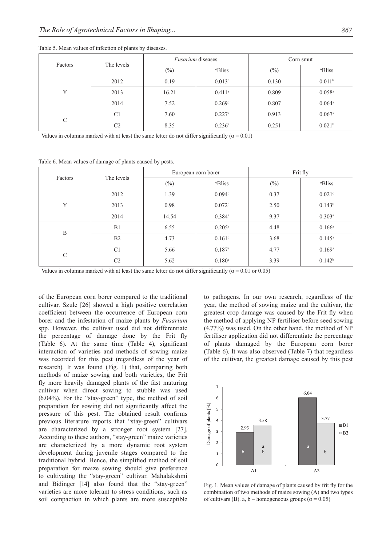|               | The levels     |        | <i>Fusarium</i> diseases | Corn smut |                      |  |
|---------------|----------------|--------|--------------------------|-----------|----------------------|--|
| Factors       |                | $(\%)$ | <sup>o</sup> Bliss       | $(\%)$    | <sup>o</sup> Bliss   |  |
|               | 2012           | 0.19   | 0.013 <sup>c</sup>       | 0.130     | 0.011 <sup>b</sup>   |  |
| Y             | 2013           | 16.21  | $0.411^{\circ}$          | 0.809     | $0.058$ <sup>a</sup> |  |
|               | 2014           | 7.52   | 0.269 <sup>b</sup>       | 0.807     | $0.064$ <sup>a</sup> |  |
| $\mathcal{C}$ | C <sub>1</sub> | 7.60   | $0.227$ <sup>a</sup>     | 0.913     | $0.067$ <sup>a</sup> |  |
|               | C2             | 8.35   | $0.236^{\rm a}$          | 0.251     | 0.021 <sup>b</sup>   |  |

Table 5. Mean values of infection of plants by diseases.

Values in columns marked with at least the same letter do not differ significantly ( $\alpha$  = 0.01)

Table 6. Mean values of damage of plants caused by pests.

| Factors       | The levels     |        | European corn borer  | Frit fly |                    |  |
|---------------|----------------|--------|----------------------|----------|--------------------|--|
|               |                | $(\%)$ | <sup>o</sup> Bliss   | $(\%)$   | <sup>o</sup> Bliss |  |
|               | 2012           | 1.39   | 0.094 <sup>b</sup>   | 0.37     | 0.021c             |  |
| Y             | 2013           | 0.98   | 0.072 <sup>b</sup>   | 2.50     | 0.143 <sup>b</sup> |  |
|               | 2014           | 14.54  | $0.384^{\rm a}$      | 9.37     | $0.303^{a}$        |  |
| B             | B1             | 6.55   | $0.205^{\rm a}$      | 4.48     | $0.166^{a}$        |  |
|               | B2             | 4.73   | 0.161 <sup>b</sup>   | 3.68     | $0.145^{\rm a}$    |  |
| $\mathcal{C}$ | C <sub>1</sub> | 5.66   | $0.187$ <sup>a</sup> | 4.77     | 0.169a             |  |
|               | C <sub>2</sub> | 5.62   | $0.180$ <sup>a</sup> | 3.39     | $0.142^{b}$        |  |

Values in columns marked with at least the same letter do not differ significantly ( $\alpha$  = 0.01 or 0.05)

of the European corn borer compared to the traditional cultivar. Szulc [26] showed a high positive correlation coefficient between the occurrence of European corn borer and the infestation of maize plants by *Fusarium* spp. However, the cultivar used did not differentiate the percentage of damage done by the Frit fly (Table 6). At the same time (Table 4), significant interaction of varieties and methods of sowing maize was recorded for this pest (regardless of the year of research). It was found (Fig. 1) that, comparing both methods of maize sowing and both varieties, the Frit fly more heavily damaged plants of the fast maturing cultivar when direct sowing to stubble was used (6.04%). For the "stay-green" type, the method of soil preparation for sowing did not significantly affect the pressure of this pest. The obtained result confirms previous literature reports that "stay-green" cultivars are characterized by a stronger root system [27]. According to these authors, "stay-green" maize varieties are characterized by a more dynamic root system development during juvenile stages compared to the traditional hybrid. Hence, the simplified method of soil preparation for maize sowing should give preference to cultivating the "stay-green" cultivar. Mahalakshmi and Bidinger [14] also found that the "stay-green" varieties are more tolerant to stress conditions, such as soil compaction in which plants are more susceptible to pathogens. In our own research, regardless of the year, the method of sowing maize and the cultivar, the greatest crop damage was caused by the Frit fly when the method of applying NP fertiliser before seed sowing (4.77%) was used. On the other hand, the method of NP fertiliser application did not differentiate the percentage of plants damaged by the European corn borer (Table 6). It was also observed (Table 7) that regardless of the cultivar, the greatest damage caused by this pest



Fig. 1. Mean values of damage of plants caused by frit fly for the combination of two methods of maize sowing (A) and two types of cultivars (B). a, b – homogeneous groups ( $\alpha$  = 0.05)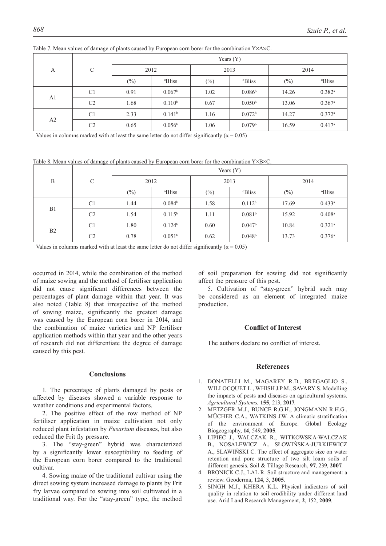|                |                | Years $(Y)$ |                    |        |                    |        |                      |  |  |
|----------------|----------------|-------------|--------------------|--------|--------------------|--------|----------------------|--|--|
| A              | C              |             | 2012               | 2013   |                    | 2014   |                      |  |  |
|                |                | $(\%)$      | <sup>o</sup> Bliss | $(\%)$ | <sup>o</sup> Bliss | $(\%)$ | <sup>o</sup> Bliss   |  |  |
| A <sub>1</sub> | C <sub>1</sub> | 0.91        | $0.067^{\rm b}$    | 1.02   | 0.086 <sup>b</sup> | 14.26  | $0.382$ <sup>a</sup> |  |  |
|                | C <sub>2</sub> | 1.68        | $0.110^{b}$        | 0.67   | 0.050 <sup>b</sup> | 13.06  | $0.367$ <sup>a</sup> |  |  |
| A2             | C <sub>1</sub> | 2.33        | 0.141 <sup>b</sup> | 1.16   | 0.072 <sup>b</sup> | 14.27  | $0.372$ <sup>a</sup> |  |  |
|                | C <sub>2</sub> | 0.65        | 0.056 <sup>b</sup> | 1.06   | 0.079 <sup>b</sup> | 16.59  | 0.417a               |  |  |

Table 7. Mean values of damage of plants caused by European corn borer for the combination Y×A×C.

Values in columns marked with at least the same letter do not differ significantly ( $\alpha$  = 0.05)

Table 8. Mean values of damage of plants caused by European corn borer for the combination  $Y \times B \times C$ .

|    |                | Years $(Y)$ |                    |        |                    |        |                      |  |
|----|----------------|-------------|--------------------|--------|--------------------|--------|----------------------|--|
| B  | $\mathcal{C}$  | 2012        |                    | 2013   |                    | 2014   |                      |  |
|    |                | $(\%)$      | <sup>o</sup> Bliss | $(\%)$ | <sup>o</sup> Bliss | $(\%)$ | <sup>o</sup> Bliss   |  |
| B1 | C <sub>1</sub> | 1.44        | 0.084 <sup>b</sup> | 1.58   | 0.112 <sup>b</sup> | 17.69  | $0.433^a$            |  |
|    | C <sub>2</sub> | 1.54        | $0.115^{b}$        | 1.11   | 0.081 <sup>b</sup> | 15.92  | $0.408$ <sup>a</sup> |  |
| B2 | C <sub>1</sub> | 1.80        | 0.124 <sup>b</sup> | 0.60   | 0.047 <sup>b</sup> | 10.84  | $0.321$ <sup>a</sup> |  |
|    | C2             | 0.78        | 0.051 <sup>b</sup> | 0.62   | 0.048 <sup>b</sup> | 13.73  | 0.376a               |  |

Values in columns marked with at least the same letter do not differ significantly ( $\alpha$  = 0.05)

occurred in 2014, while the combination of the method of maize sowing and the method of fertiliser application did not cause significant differences between the percentages of plant damage within that year. It was also noted (Table 8) that irrespective of the method of sowing maize, significantly the greatest damage was caused by the European corn borer in 2014, and the combination of maize varieties and NP fertiliser application methods within that year and the other years of research did not differentiate the degree of damage caused by this pest.

## **Conclusions**

1. The percentage of plants damaged by pests or affected by diseases showed a variable response to weather conditions and experimental factors.

2. The positive effect of the row method of NP fertiliser application in maize cultivation not only reduced plant infestation by *Fusarium* diseases, but also reduced the Frit fly pressure.

3. The "stay-green" hybrid was characterized by a significantly lower susceptibility to feeding of the European corn borer compared to the traditional cultivar.

4. Sowing maize of the traditional cultivar using the direct sowing system increased damage to plants by Frit fry larvae compared to sowing into soil cultivated in a traditional way. For the "stay-green" type, the method of soil preparation for sowing did not significantly affect the pressure of this pest.

5. Cultivation of "stay-green" hybrid such may be considered as an element of integrated maize production.

#### **Conflict of Interest**

The authors declare no conflict of interest.

## **References**

- 1. Donatelli M., Magarey R.D., Bregaglio S., Willocquet L., Whish J.P.M., Savary S. Modelling the impacts of pests and diseases on agricultural systems. *Agricultural Systems,* **155**, 213, **2017**.
- 2. Metzger M.J., Bunce R.G.H., Jongmann R.H.G., MÜCHER C.A., WATKINS J.W. A climatic stratification of the environment of Europe. Global Ecology Biogeography, **14**, 549, **2005**.
- 3. Lipiec J., Walczak R., Witkowska-Walczak B., Nosalewicz A., Słowińska-Jurkiewicz A., Sławiński C. The effect of aggregate size on water retention and pore structure of two silt loam soils of different genesis. Soil & Tillage Research, **97**, 239, **2007**.
- 4. Bronick C.J., Lal R. Soil structure and management: a review. Geoderma, **124**, 3, **2005**.
- 5. Singh M.J., Khera K.L. Physical indicators of soil quality in relation to soil erodibility under different land use. Arid Land Research Management, **2**, 152, **2009**.